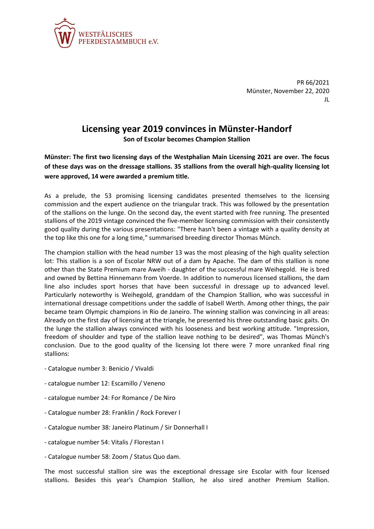

PR 66/2021 Münster, November 22, 2020 JL

## **Licensing year 2019 convinces in Münster-Handorf Son of Escolar becomes Champion Stallion**

**Münster: The first two licensing days of the Westphalian Main Licensing 2021 are over. The focus of these days was on the dressage stallions. 35 stallions from the overall high-quality licensing lot were approved, 14 were awarded a premium title.**

As a prelude, the 53 promising licensing candidates presented themselves to the licensing commission and the expert audience on the triangular track. This was followed by the presentation of the stallions on the lunge. On the second day, the event started with free running. The presented stallions of the 2019 vintage convinced the five-member licensing commission with their consistently good quality during the various presentations: "There hasn't been a vintage with a quality density at the top like this one for a long time," summarised breeding director Thomas Münch.

The champion stallion with the head number 13 was the most pleasing of the high quality selection lot: This stallion is a son of Escolar NRW out of a dam by Apache. The dam of this stallion is none other than the State Premium mare Aweih - daughter of the successful mare Weihegold. He is bred and owned by Bettina Hinnemann from Voerde. In addition to numerous licensed stallions, the dam line also includes sport horses that have been successful in dressage up to advanced level. Particularly noteworthy is Weihegold, granddam of the Champion Stallion, who was successful in international dressage competitions under the saddle of Isabell Werth. Among other things, the pair became team Olympic champions in Rio de Janeiro. The winning stallion was convincing in all areas: Already on the first day of licensing at the triangle, he presented his three outstanding basic gaits. On the lunge the stallion always convinced with his looseness and best working attitude. "Impression, freedom of shoulder and type of the stallion leave nothing to be desired", was Thomas Münch's conclusion. Due to the good quality of the licensing lot there were 7 more unranked final ring stallions:

- Catalogue number 3: Benicio / Vivaldi
- catalogue number 12: Escamillo / Veneno
- catalogue number 24: For Romance / De Niro
- Catalogue number 28: Franklin / Rock Forever I
- Catalogue number 38: Janeiro Platinum / Sir Donnerhall I
- catalogue number 54: Vitalis / Florestan I
- Catalogue number 58: Zoom / Status Quo dam.

The most successful stallion sire was the exceptional dressage sire Escolar with four licensed stallions. Besides this year's Champion Stallion, he also sired another Premium Stallion.